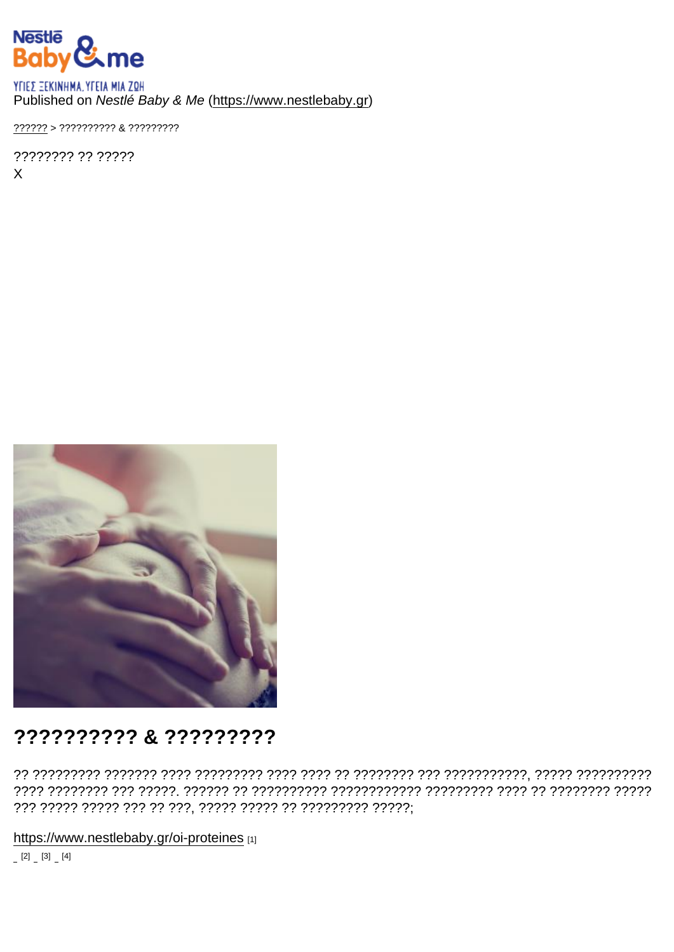Published on Nestlé Baby & Me (https://www.nestlebaby.gr)

 $???????$  > ?????????? & ??????????

???????? ?? ?????  $\mathsf{X}$ 

## ?????????? & ?????????

https://www.nestlebaby.gr/oi-proteines [1]

 $[2]$   $[3]$   $[4]$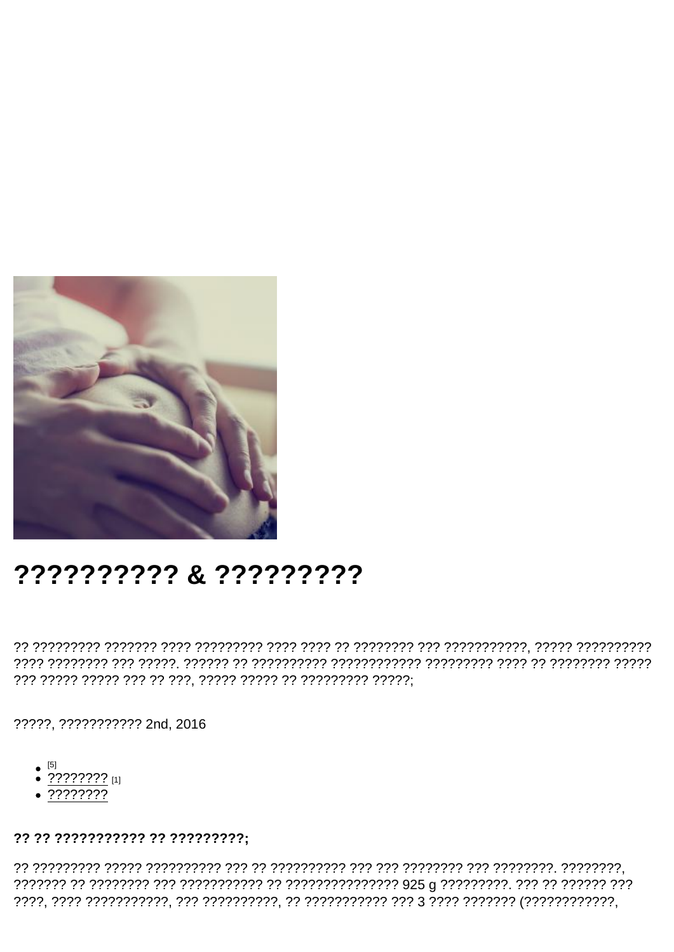## ?????????? & ?????????

?????. ??????????? 2nd, 2016

- 
- $\bullet$   $\frac{[5]}{?}$  ?????????? [1]
- $.77777777$

?? ?? ??????????? ?? ?????????